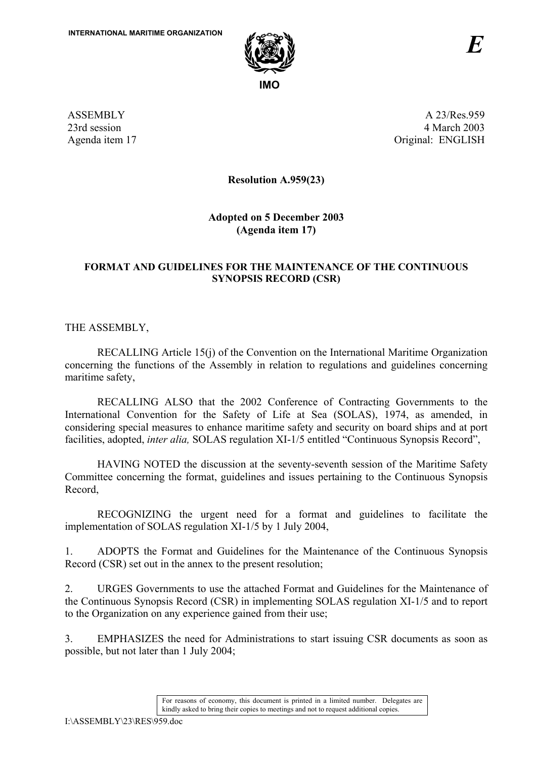

ASSEMBLY 23rd session Agenda item 17

A 23/Res.959 4 March 2003 Original: ENGLISH

**Resolution A.959(23)** 

**Adopted on 5 December 2003 (Agenda item 17)** 

### **FORMAT AND GUIDELINES FOR THE MAINTENANCE OF THE CONTINUOUS SYNOPSIS RECORD (CSR)**

THE ASSEMBLY,

 RECALLING Article 15(j) of the Convention on the International Maritime Organization concerning the functions of the Assembly in relation to regulations and guidelines concerning maritime safety,

 RECALLING ALSO that the 2002 Conference of Contracting Governments to the International Convention for the Safety of Life at Sea (SOLAS), 1974, as amended, in considering special measures to enhance maritime safety and security on board ships and at port facilities, adopted, *inter alia*, SOLAS regulation XI-1/5 entitled "Continuous Synopsis Record",

HAVING NOTED the discussion at the seventy-seventh session of the Maritime Safety Committee concerning the format, guidelines and issues pertaining to the Continuous Synopsis Record,

RECOGNIZING the urgent need for a format and guidelines to facilitate the implementation of SOLAS regulation XI-1/5 by 1 July 2004,

1. ADOPTS the Format and Guidelines for the Maintenance of the Continuous Synopsis Record (CSR) set out in the annex to the present resolution;

2. URGES Governments to use the attached Format and Guidelines for the Maintenance of the Continuous Synopsis Record (CSR) in implementing SOLAS regulation XI-1/5 and to report to the Organization on any experience gained from their use;

3. EMPHASIZES the need for Administrations to start issuing CSR documents as soon as possible, but not later than 1 July 2004;

> For reasons of economy, this document is printed in a limited number. Delegates are kindly asked to bring their copies to meetings and not to request additional copies.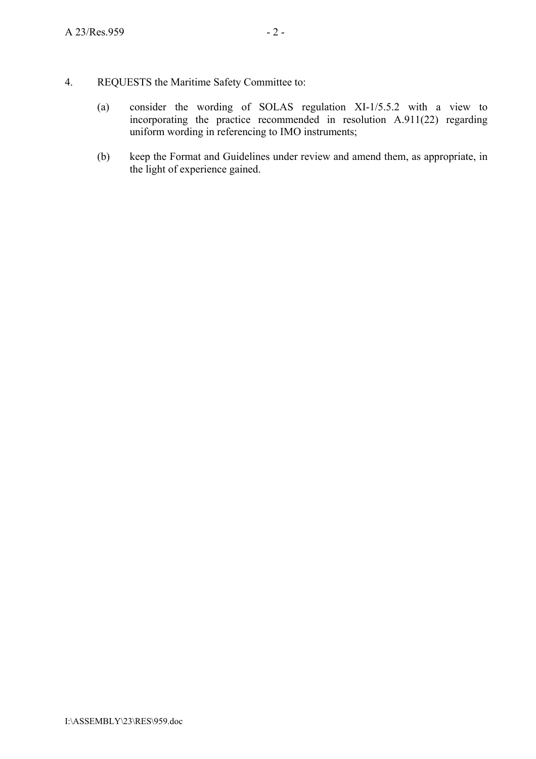- 4. REQUESTS the Maritime Safety Committee to:
	- (a) consider the wording of SOLAS regulation XI-1/5.5.2 with a view to incorporating the practice recommended in resolution A.911(22) regarding uniform wording in referencing to IMO instruments;
	- (b) keep the Format and Guidelines under review and amend them, as appropriate, in the light of experience gained.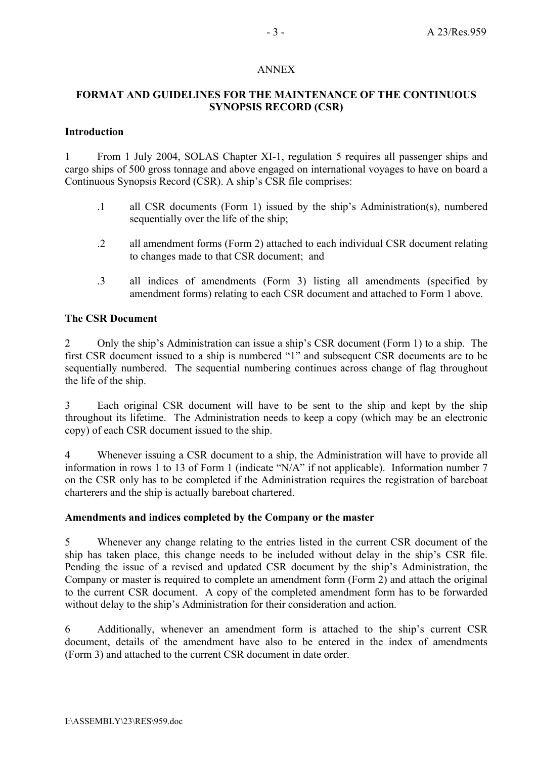### ANNEX

## **FORMAT AND GUIDELINES FOR THE MAINTENANCE OF THE CONTINUOUS SYNOPSIS RECORD (CSR)**

### **Introduction**

1 From 1 July 2004, SOLAS Chapter XI-1, regulation 5 requires all passenger ships and cargo ships of 500 gross tonnage and above engaged on international voyages to have on board a Continuous Synopsis Record (CSR). A ship's CSR file comprises:

- .1 all CSR documents (Form 1) issued by the shipís Administration(s), numbered sequentially over the life of the ship;
- .2 all amendment forms (Form 2) attached to each individual CSR document relating to changes made to that CSR document; and
- .3 all indices of amendments (Form 3) listing all amendments (specified by amendment forms) relating to each CSR document and attached to Form 1 above.

### **The CSR Document**

2 Only the ship's Administration can issue a ship's CSR document (Form 1) to a ship. The first CSR document issued to a ship is numbered "1" and subsequent CSR documents are to be sequentially numbered. The sequential numbering continues across change of flag throughout the life of the ship.

3 Each original CSR document will have to be sent to the ship and kept by the ship throughout its lifetime. The Administration needs to keep a copy (which may be an electronic copy) of each CSR document issued to the ship.

4 Whenever issuing a CSR document to a ship, the Administration will have to provide all information in rows 1 to 13 of Form 1 (indicate  $N/A$ " if not applicable). Information number 7 on the CSR only has to be completed if the Administration requires the registration of bareboat charterers and the ship is actually bareboat chartered.

### **Amendments and indices completed by the Company or the master**

5 Whenever any change relating to the entries listed in the current CSR document of the ship has taken place, this change needs to be included without delay in the ship's CSR file. Pending the issue of a revised and updated CSR document by the ship's Administration, the Company or master is required to complete an amendment form (Form 2) and attach the original to the current CSR document. A copy of the completed amendment form has to be forwarded without delay to the ship's Administration for their consideration and action.

6 Additionally, whenever an amendment form is attached to the ship's current CSR document, details of the amendment have also to be entered in the index of amendments (Form 3) and attached to the current CSR document in date order.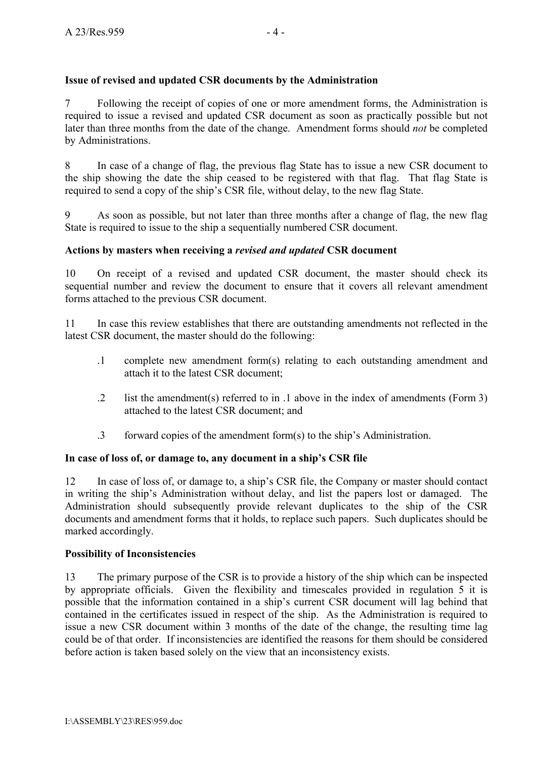# **Issue of revised and updated CSR documents by the Administration**

7 Following the receipt of copies of one or more amendment forms, the Administration is required to issue a revised and updated CSR document as soon as practically possible but not later than three months from the date of the change. Amendment forms should *not* be completed by Administrations.

8 In case of a change of flag, the previous flag State has to issue a new CSR document to the ship showing the date the ship ceased to be registered with that flag. That flag State is required to send a copy of the ship's CSR file, without delay, to the new flag State.

9 As soon as possible, but not later than three months after a change of flag, the new flag State is required to issue to the ship a sequentially numbered CSR document.

## **Actions by masters when receiving a** *revised and updated* **CSR document**

10 On receipt of a revised and updated CSR document, the master should check its sequential number and review the document to ensure that it covers all relevant amendment forms attached to the previous CSR document.

11 In case this review establishes that there are outstanding amendments not reflected in the latest CSR document, the master should do the following:

- .1 complete new amendment form(s) relating to each outstanding amendment and attach it to the latest CSR document;
- .2 list the amendment(s) referred to in .1 above in the index of amendments (Form 3) attached to the latest CSR document; and
- $\beta$  forward copies of the amendment form(s) to the ship's Administration.

## In case of loss of, or damage to, any document in a ship's CSR file

12 In case of loss of, or damage to, a ship's CSR file, the Company or master should contact in writing the ship's Administration without delay, and list the papers lost or damaged. The Administration should subsequently provide relevant duplicates to the ship of the CSR documents and amendment forms that it holds, to replace such papers. Such duplicates should be marked accordingly.

## **Possibility of Inconsistencies**

13 The primary purpose of the CSR is to provide a history of the ship which can be inspected by appropriate officials. Given the flexibility and timescales provided in regulation 5 it is possible that the information contained in a ship's current CSR document will lag behind that contained in the certificates issued in respect of the ship. As the Administration is required to issue a new CSR document within 3 months of the date of the change, the resulting time lag could be of that order. If inconsistencies are identified the reasons for them should be considered before action is taken based solely on the view that an inconsistency exists.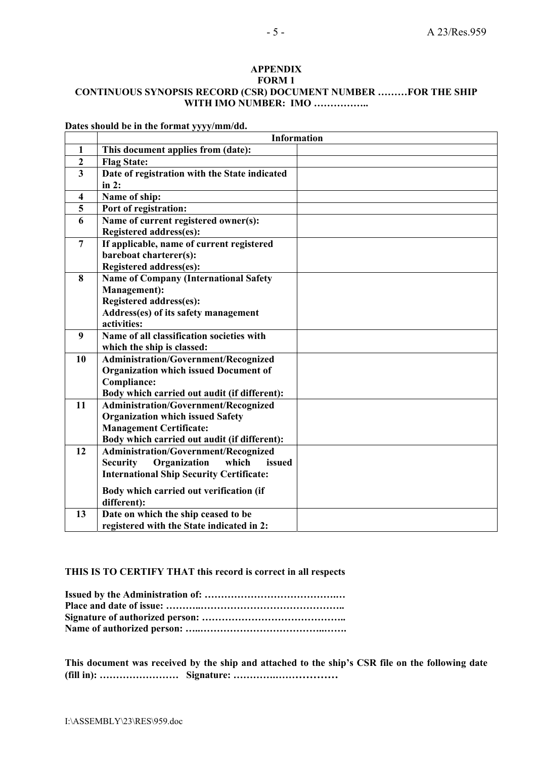#### **APPENDIX FORM 1 CONTINUOUS SYNOPSIS RECORD (CSR) DOCUMENT NUMBER .........FOR THE SHIP WITH IMO NUMBER: IMO ................**

|                         | <b>Information</b>                                 |  |  |
|-------------------------|----------------------------------------------------|--|--|
| 1                       | This document applies from (date):                 |  |  |
| $\overline{2}$          | <b>Flag State:</b>                                 |  |  |
| $\overline{\mathbf{3}}$ | Date of registration with the State indicated      |  |  |
|                         | in 2:                                              |  |  |
| 4                       | Name of ship:                                      |  |  |
| 5                       | Port of registration:                              |  |  |
| 6                       | Name of current registered owner(s):               |  |  |
|                         | <b>Registered address(es):</b>                     |  |  |
| $\overline{7}$          | If applicable, name of current registered          |  |  |
|                         | bareboat charterer(s):                             |  |  |
|                         | Registered address(es):                            |  |  |
| 8                       | <b>Name of Company (International Safety</b>       |  |  |
|                         | Management):                                       |  |  |
|                         | <b>Registered address(es):</b>                     |  |  |
|                         | Address(es) of its safety management               |  |  |
|                         | activities:                                        |  |  |
| 9                       | Name of all classification societies with          |  |  |
|                         | which the ship is classed:                         |  |  |
| 10                      | <b>Administration/Government/Recognized</b>        |  |  |
|                         | <b>Organization which issued Document of</b>       |  |  |
|                         | <b>Compliance:</b>                                 |  |  |
|                         | Body which carried out audit (if different):       |  |  |
| 11                      | <b>Administration/Government/Recognized</b>        |  |  |
|                         | <b>Organization which issued Safety</b>            |  |  |
|                         | <b>Management Certificate:</b>                     |  |  |
|                         | Body which carried out audit (if different):       |  |  |
| 12                      | Administration/Government/Recognized               |  |  |
|                         | <b>Security</b><br>Organization<br>which<br>issued |  |  |
|                         | <b>International Ship Security Certificate:</b>    |  |  |
|                         | Body which carried out verification (if            |  |  |
|                         | different):                                        |  |  |
| 13                      | Date on which the ship ceased to be                |  |  |
|                         | registered with the State indicated in 2:          |  |  |

**Dates should be in the format yyyy/mm/dd.** 

#### **THIS IS TO CERTIFY THAT this record is correct in all respects**

This document was received by the ship and attached to the ship's CSR file on the following date **(fill in): ÖÖÖÖÖÖÖÖ Signature: ÖÖÖÖ.ÖÖÖÖÖÖ**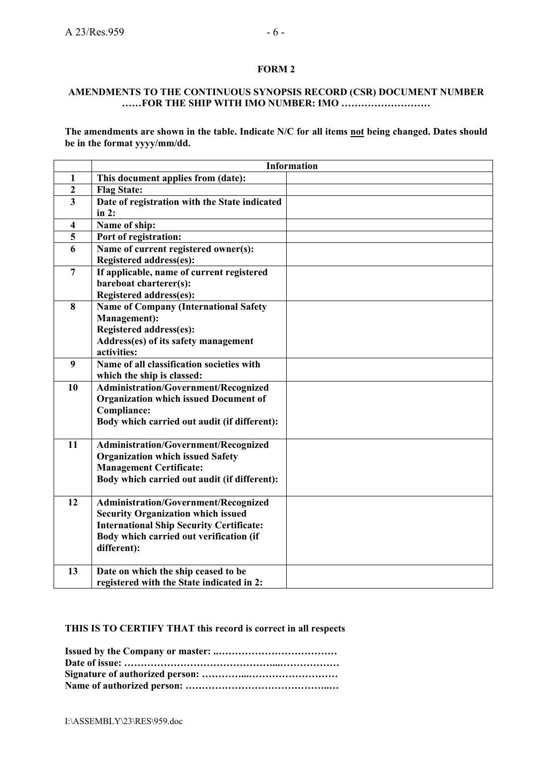### **FORM 2**

#### **AMENDMENTS TO THE CONTINUOUS SYNOPSIS RECORD (CSR) DOCUMENT NUMBER WEIGHT IMO NUMBER: IMO ...........................**

The amendments are shown in the table. Indicate N/C for all items not being changed. Dates should **be in the format yyyy/mm/dd.** 

|                         | <b>Information</b>                              |  |  |
|-------------------------|-------------------------------------------------|--|--|
| 1                       | This document applies from (date):              |  |  |
| $\boldsymbol{2}$        | <b>Flag State:</b>                              |  |  |
| $\overline{\mathbf{3}}$ | Date of registration with the State indicated   |  |  |
|                         | in $2:$                                         |  |  |
| $\overline{\mathbf{4}}$ | Name of ship:                                   |  |  |
| 5                       | Port of registration:                           |  |  |
| 6                       | Name of current registered owner(s):            |  |  |
|                         | <b>Registered address(es):</b>                  |  |  |
| $\overline{7}$          | If applicable, name of current registered       |  |  |
|                         | bareboat charterer(s):                          |  |  |
|                         | <b>Registered address(es):</b>                  |  |  |
| $\bf{8}$                | <b>Name of Company (International Safety</b>    |  |  |
|                         | Management):                                    |  |  |
|                         | Registered address(es):                         |  |  |
|                         | Address(es) of its safety management            |  |  |
|                         | activities:                                     |  |  |
| 9                       | Name of all classification societies with       |  |  |
|                         | which the ship is classed:                      |  |  |
| 10                      | Administration/Government/Recognized            |  |  |
|                         | <b>Organization which issued Document of</b>    |  |  |
|                         | Compliance:                                     |  |  |
|                         | Body which carried out audit (if different):    |  |  |
| 11                      | <b>Administration/Government/Recognized</b>     |  |  |
|                         | <b>Organization which issued Safety</b>         |  |  |
|                         | <b>Management Certificate:</b>                  |  |  |
|                         | Body which carried out audit (if different):    |  |  |
|                         |                                                 |  |  |
| 12                      | <b>Administration/Government/Recognized</b>     |  |  |
|                         | <b>Security Organization which issued</b>       |  |  |
|                         | <b>International Ship Security Certificate:</b> |  |  |
|                         | Body which carried out verification (if         |  |  |
|                         | different):                                     |  |  |
|                         |                                                 |  |  |
| 13                      | Date on which the ship ceased to be             |  |  |
|                         | registered with the State indicated in 2:       |  |  |

### **THIS IS TO CERTIFY THAT this record is correct in all respects**